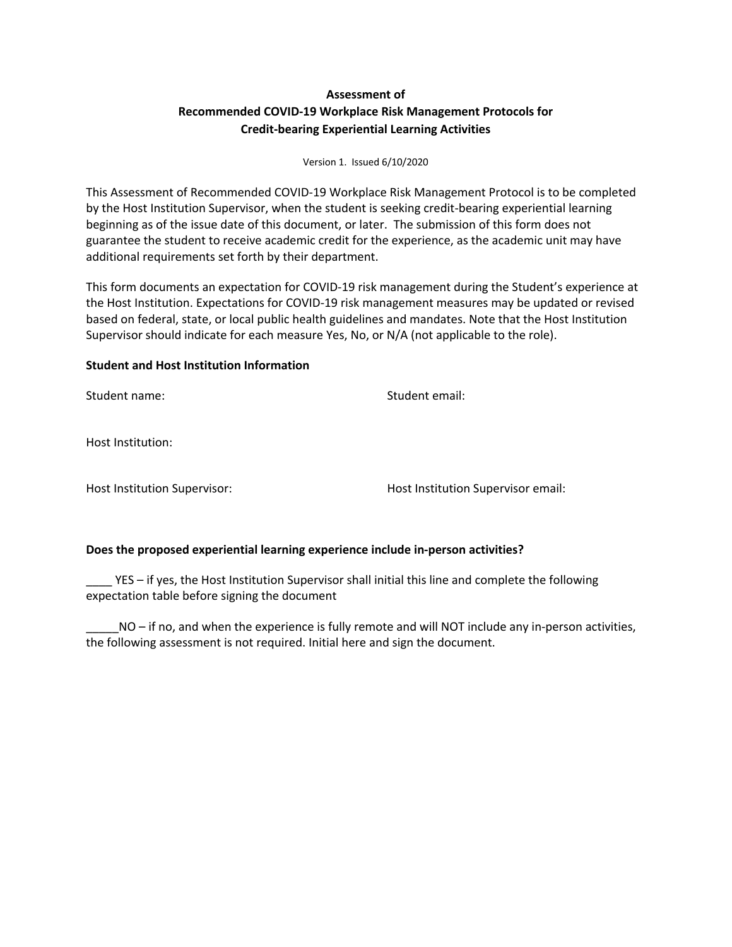## **Assessment of Recommended COVID-19 Workplace Risk Management Protocols for Credit-bearing Experiential Learning Activities**

## Version 1. Issued 6/10/2020

This Assessment of Recommended COVID-19 Workplace Risk Management Protocol is to be completed by the Host Institution Supervisor, when the student is seeking credit-bearing experiential learning beginning as of the issue date of this document, or later. The submission of this form does not guarantee the student to receive academic credit for the experience, as the academic unit may have additional requirements set forth by their department.

This form documents an expectation for COVID-19 risk management during the Student's experience at the Host Institution. Expectations for COVID-19 risk management measures may be updated or revised based on federal, state, or local public health guidelines and mandates. Note that the Host Institution Supervisor should indicate for each measure Yes, No, or N/A (not applicable to the role).

## **Student and Host Institution Information**

Student name: Student email:

Host Institution:

Host Institution Supervisor: Host Institution Supervisor email:

## **Does the proposed experiential learning experience include in-person activities?**

YES – if yes, the Host Institution Supervisor shall initial this line and complete the following expectation table before signing the document

NO – if no, and when the experience is fully remote and will NOT include any in-person activities, the following assessment is not required. Initial here and sign the document.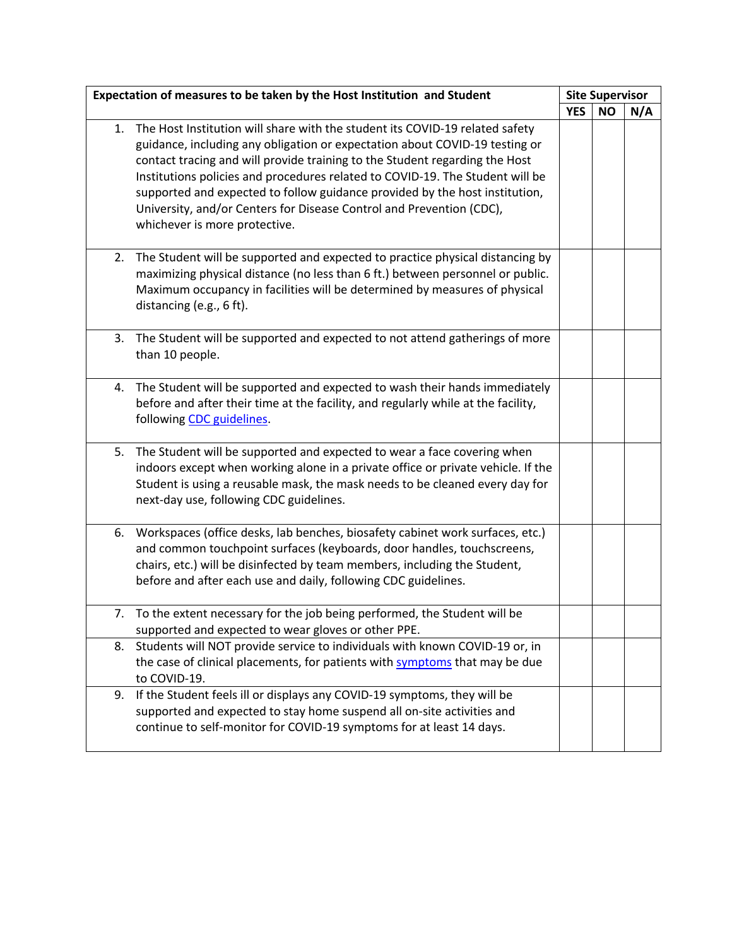| Expectation of measures to be taken by the Host Institution and Student |                                                                                                                                                                                                                                                                                                                                                                                                                                                                                                                     | <b>Site Supervisor</b> |           |     |
|-------------------------------------------------------------------------|---------------------------------------------------------------------------------------------------------------------------------------------------------------------------------------------------------------------------------------------------------------------------------------------------------------------------------------------------------------------------------------------------------------------------------------------------------------------------------------------------------------------|------------------------|-----------|-----|
|                                                                         |                                                                                                                                                                                                                                                                                                                                                                                                                                                                                                                     | <b>YES</b>             | <b>NO</b> | N/A |
| 1.                                                                      | The Host Institution will share with the student its COVID-19 related safety<br>guidance, including any obligation or expectation about COVID-19 testing or<br>contact tracing and will provide training to the Student regarding the Host<br>Institutions policies and procedures related to COVID-19. The Student will be<br>supported and expected to follow guidance provided by the host institution,<br>University, and/or Centers for Disease Control and Prevention (CDC),<br>whichever is more protective. |                        |           |     |
| 2.                                                                      | The Student will be supported and expected to practice physical distancing by<br>maximizing physical distance (no less than 6 ft.) between personnel or public.<br>Maximum occupancy in facilities will be determined by measures of physical<br>distancing (e.g., 6 ft).                                                                                                                                                                                                                                           |                        |           |     |
| 3.                                                                      | The Student will be supported and expected to not attend gatherings of more<br>than 10 people.                                                                                                                                                                                                                                                                                                                                                                                                                      |                        |           |     |
|                                                                         | 4. The Student will be supported and expected to wash their hands immediately<br>before and after their time at the facility, and regularly while at the facility,<br>following CDC guidelines.                                                                                                                                                                                                                                                                                                                     |                        |           |     |
| 5.                                                                      | The Student will be supported and expected to wear a face covering when<br>indoors except when working alone in a private office or private vehicle. If the<br>Student is using a reusable mask, the mask needs to be cleaned every day for<br>next-day use, following CDC guidelines.                                                                                                                                                                                                                              |                        |           |     |
| 6.                                                                      | Workspaces (office desks, lab benches, biosafety cabinet work surfaces, etc.)<br>and common touchpoint surfaces (keyboards, door handles, touchscreens,<br>chairs, etc.) will be disinfected by team members, including the Student,<br>before and after each use and daily, following CDC guidelines.                                                                                                                                                                                                              |                        |           |     |
|                                                                         | 7. To the extent necessary for the job being performed, the Student will be<br>supported and expected to wear gloves or other PPE.                                                                                                                                                                                                                                                                                                                                                                                  |                        |           |     |
| 8.                                                                      | Students will NOT provide service to individuals with known COVID-19 or, in<br>the case of clinical placements, for patients with symptoms that may be due<br>to COVID-19.                                                                                                                                                                                                                                                                                                                                          |                        |           |     |
| 9.                                                                      | If the Student feels ill or displays any COVID-19 symptoms, they will be<br>supported and expected to stay home suspend all on-site activities and<br>continue to self-monitor for COVID-19 symptoms for at least 14 days.                                                                                                                                                                                                                                                                                          |                        |           |     |